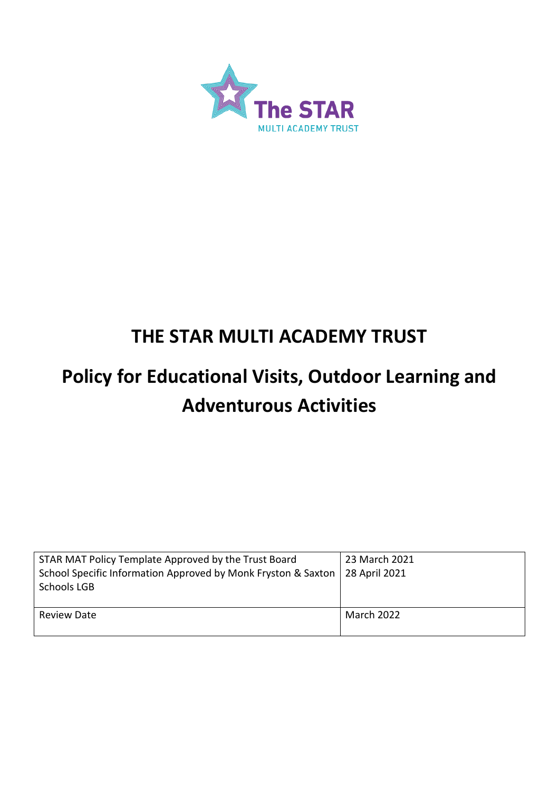

# **THE STAR MULTI ACADEMY TRUST**

# **Policy for Educational Visits, Outdoor Learning and Adventurous Activities**

| STAR MAT Policy Template Approved by the Trust Board<br>School Specific Information Approved by Monk Fryston & Saxton<br>Schools LGB | 23 March 2021<br>28 April 2021 |
|--------------------------------------------------------------------------------------------------------------------------------------|--------------------------------|
| <b>Review Date</b>                                                                                                                   | March 2022                     |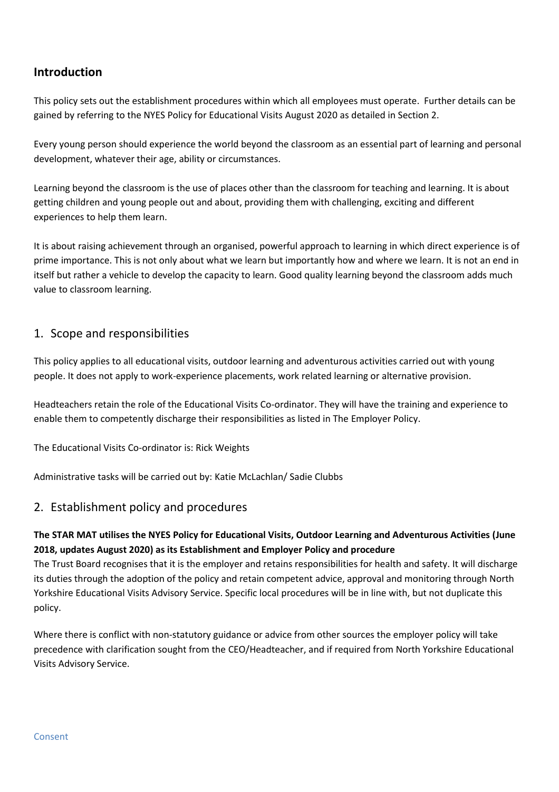## **Introduction**

This policy sets out the establishment procedures within which all employees must operate. Further details can be gained by referring to the NYES Policy for Educational Visits August 2020 as detailed in Section 2.

Every young person should experience the world beyond the classroom as an essential part of learning and personal development, whatever their age, ability or circumstances.

Learning beyond the classroom is the use of places other than the classroom for teaching and learning. It is about getting children and young people out and about, providing them with challenging, exciting and different experiences to help them learn.

It is about raising achievement through an organised, powerful approach to learning in which direct experience is of prime importance. This is not only about what we learn but importantly how and where we learn. It is not an end in itself but rather a vehicle to develop the capacity to learn. Good quality learning beyond the classroom adds much value to classroom learning.

### 1. Scope and responsibilities

This policy applies to all educational visits, outdoor learning and adventurous activities carried out with young people. It does not apply to work-experience placements, work related learning or alternative provision.

Headteachers retain the role of the Educational Visits Co-ordinator. They will have the training and experience to enable them to competently discharge their responsibilities as listed in The Employer Policy.

The Educational Visits Co-ordinator is: Rick Weights

Administrative tasks will be carried out by: Katie McLachlan/ Sadie Clubbs

#### 2. Establishment policy and procedures

#### **The STAR MAT utilises the NYES Policy for Educational Visits, Outdoor Learning and Adventurous Activities (June 2018, updates August 2020) as its Establishment and Employer Policy and procedure**

The Trust Board recognises that it is the employer and retains responsibilities for health and safety. It will discharge its duties through the adoption of the policy and retain competent advice, approval and monitoring through North Yorkshire Educational Visits Advisory Service. Specific local procedures will be in line with, but not duplicate this policy.

Where there is conflict with non-statutory guidance or advice from other sources the employer policy will take precedence with clarification sought from the CEO/Headteacher, and if required from North Yorkshire Educational Visits Advisory Service.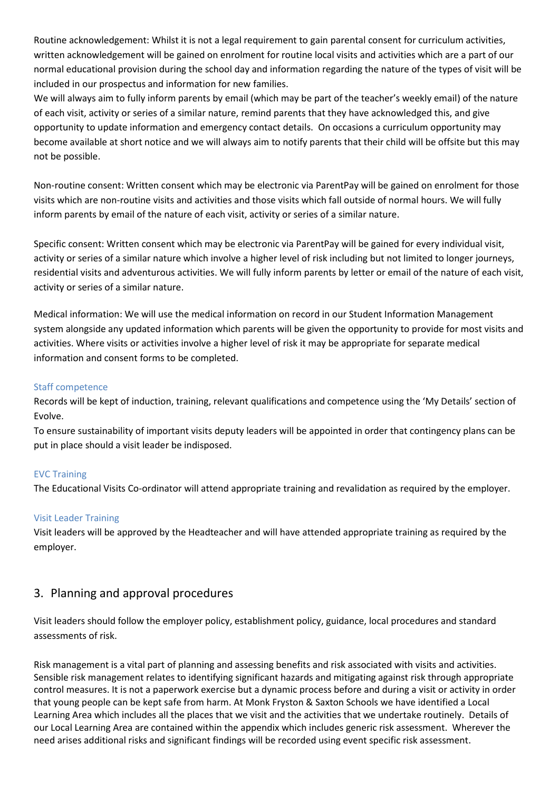Routine acknowledgement: Whilst it is not a legal requirement to gain parental consent for curriculum activities, written acknowledgement will be gained on enrolment for routine local visits and activities which are a part of our normal educational provision during the school day and information regarding the nature of the types of visit will be included in our prospectus and information for new families.

We will always aim to fully inform parents by email (which may be part of the teacher's weekly email) of the nature of each visit, activity or series of a similar nature, remind parents that they have acknowledged this, and give opportunity to update information and emergency contact details. On occasions a curriculum opportunity may become available at short notice and we will always aim to notify parents that their child will be offsite but this may not be possible.

Non-routine consent: Written consent which may be electronic via ParentPay will be gained on enrolment for those visits which are non-routine visits and activities and those visits which fall outside of normal hours. We will fully inform parents by email of the nature of each visit, activity or series of a similar nature.

Specific consent: Written consent which may be electronic via ParentPay will be gained for every individual visit, activity or series of a similar nature which involve a higher level of risk including but not limited to longer journeys, residential visits and adventurous activities. We will fully inform parents by letter or email of the nature of each visit, activity or series of a similar nature.

Medical information: We will use the medical information on record in our Student Information Management system alongside any updated information which parents will be given the opportunity to provide for most visits and activities. Where visits or activities involve a higher level of risk it may be appropriate for separate medical information and consent forms to be completed.

#### Staff competence

Records will be kept of induction, training, relevant qualifications and competence using the 'My Details' section of Evolve.

To ensure sustainability of important visits deputy leaders will be appointed in order that contingency plans can be put in place should a visit leader be indisposed.

#### EVC Training

The Educational Visits Co-ordinator will attend appropriate training and revalidation as required by the employer.

#### Visit Leader Training

Visit leaders will be approved by the Headteacher and will have attended appropriate training as required by the employer.

#### 3. Planning and approval procedures

Visit leaders should follow the employer policy, establishment policy, guidance, local procedures and standard assessments of risk.

Risk management is a vital part of planning and assessing benefits and risk associated with visits and activities. Sensible risk management relates to identifying significant hazards and mitigating against risk through appropriate control measures. It is not a paperwork exercise but a dynamic process before and during a visit or activity in order that young people can be kept safe from harm. At Monk Fryston & Saxton Schools we have identified a Local Learning Area which includes all the places that we visit and the activities that we undertake routinely. Details of our Local Learning Area are contained within the appendix which includes generic risk assessment. Wherever the need arises additional risks and significant findings will be recorded using event specific risk assessment.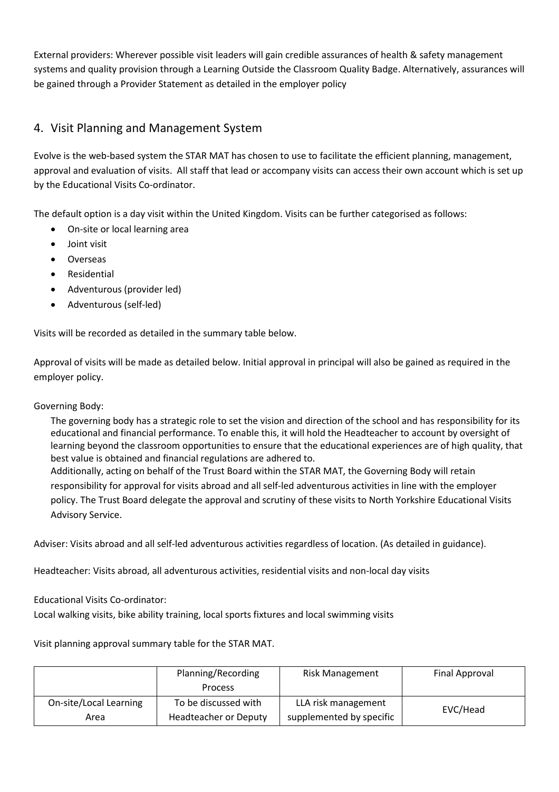External providers: Wherever possible visit leaders will gain credible assurances of health & safety management systems and quality provision through a Learning Outside the Classroom Quality Badge. Alternatively, assurances will be gained through a Provider Statement as detailed in the employer policy

# 4. Visit Planning and Management System

Evolve is the web-based system the STAR MAT has chosen to use to facilitate the efficient planning, management, approval and evaluation of visits. All staff that lead or accompany visits can access their own account which is set up by the Educational Visits Co-ordinator.

The default option is a day visit within the United Kingdom. Visits can be further categorised as follows:

- On-site or local learning area
- Joint visit
- Overseas
- **Residential**
- Adventurous (provider led)
- Adventurous (self-led)

Visits will be recorded as detailed in the summary table below.

Approval of visits will be made as detailed below. Initial approval in principal will also be gained as required in the employer policy.

#### Governing Body:

The governing body has a strategic role to set the vision and direction of the school and has responsibility for its educational and financial performance. To enable this, it will hold the Headteacher to account by oversight of learning beyond the classroom opportunities to ensure that the educational experiences are of high quality, that best value is obtained and financial regulations are adhered to.

Additionally, acting on behalf of the Trust Board within the STAR MAT, the Governing Body will retain responsibility for approval for visits abroad and all self-led adventurous activities in line with the employer policy. The Trust Board delegate the approval and scrutiny of these visits to North Yorkshire Educational Visits Advisory Service.

Adviser: Visits abroad and all self-led adventurous activities regardless of location. (As detailed in guidance).

Headteacher: Visits abroad, all adventurous activities, residential visits and non-local day visits

Educational Visits Co-ordinator:

Local walking visits, bike ability training, local sports fixtures and local swimming visits

Visit planning approval summary table for the STAR MAT.

|                        | Planning/Recording           | <b>Risk Management</b>   | Final Approval |  |
|------------------------|------------------------------|--------------------------|----------------|--|
|                        | <b>Process</b>               |                          |                |  |
| On-site/Local Learning | To be discussed with         | LLA risk management      | EVC/Head       |  |
| Area                   | <b>Headteacher or Deputy</b> | supplemented by specific |                |  |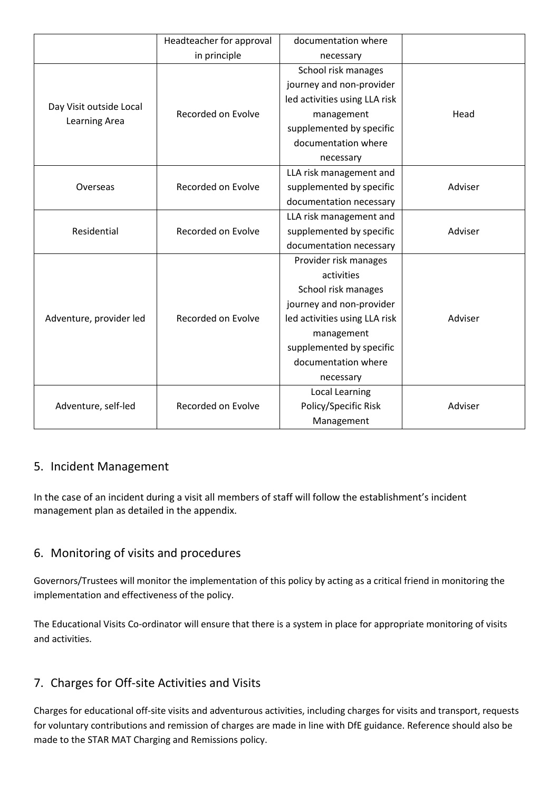|                                          | Headteacher for approval | documentation where           |         |
|------------------------------------------|--------------------------|-------------------------------|---------|
|                                          | in principle             | necessary                     |         |
| Day Visit outside Local<br>Learning Area | Recorded on Evolve       | School risk manages           |         |
|                                          |                          | journey and non-provider      |         |
|                                          |                          | led activities using LLA risk |         |
|                                          |                          | management                    | Head    |
|                                          |                          | supplemented by specific      |         |
|                                          |                          | documentation where           |         |
|                                          |                          | necessary                     |         |
| Overseas                                 |                          | LLA risk management and       |         |
|                                          | Recorded on Evolve       | supplemented by specific      | Adviser |
|                                          |                          | documentation necessary       |         |
| Residential                              | Recorded on Evolve       | LLA risk management and       |         |
|                                          |                          | supplemented by specific      | Adviser |
|                                          |                          | documentation necessary       |         |
| Adventure, provider led                  | Recorded on Evolve       | Provider risk manages         |         |
|                                          |                          | activities                    |         |
|                                          |                          | School risk manages           |         |
|                                          |                          | journey and non-provider      |         |
|                                          |                          | led activities using LLA risk | Adviser |
|                                          |                          | management                    |         |
|                                          |                          | supplemented by specific      |         |
|                                          |                          | documentation where           |         |
|                                          |                          | necessary                     |         |
| Adventure, self-led                      |                          | Local Learning                |         |
|                                          | Recorded on Evolve       | Policy/Specific Risk          | Adviser |
|                                          |                          | Management                    |         |

## 5. Incident Management

In the case of an incident during a visit all members of staff will follow the establishment's incident management plan as detailed in the appendix.

## 6. Monitoring of visits and procedures

Governors/Trustees will monitor the implementation of this policy by acting as a critical friend in monitoring the implementation and effectiveness of the policy.

The Educational Visits Co-ordinator will ensure that there is a system in place for appropriate monitoring of visits and activities.

## 7. Charges for Off-site Activities and Visits

Charges for educational off-site visits and adventurous activities, including charges for visits and transport, requests for voluntary contributions and remission of charges are made in line with DfE guidance. Reference should also be made to the STAR MAT Charging and Remissions policy.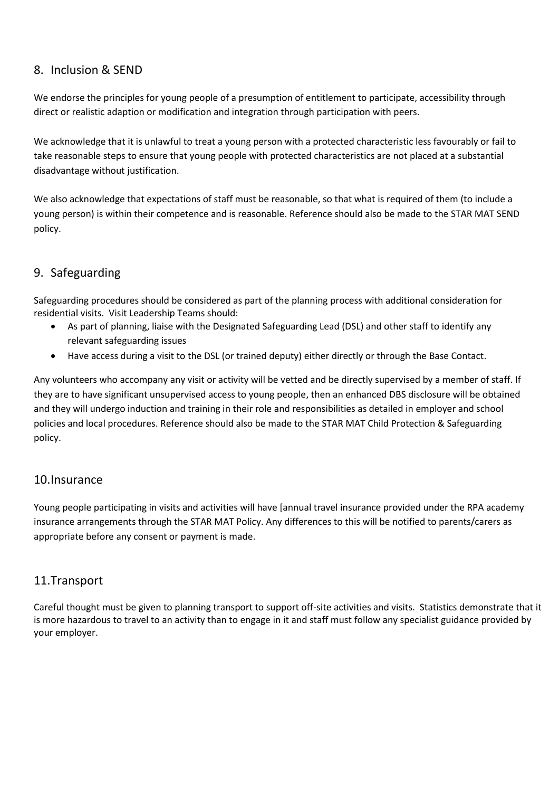### 8. Inclusion & SEND

We endorse the principles for young people of a presumption of entitlement to participate, accessibility through direct or realistic adaption or modification and integration through participation with peers.

We acknowledge that it is unlawful to treat a young person with a protected characteristic less favourably or fail to take reasonable steps to ensure that young people with protected characteristics are not placed at a substantial disadvantage without justification.

We also acknowledge that expectations of staff must be reasonable, so that what is required of them (to include a young person) is within their competence and is reasonable. Reference should also be made to the STAR MAT SEND policy.

# 9. Safeguarding

Safeguarding procedures should be considered as part of the planning process with additional consideration for residential visits. Visit Leadership Teams should:

- As part of planning, liaise with the Designated Safeguarding Lead (DSL) and other staff to identify any relevant safeguarding issues
- Have access during a visit to the DSL (or trained deputy) either directly or through the Base Contact.

Any volunteers who accompany any visit or activity will be vetted and be directly supervised by a member of staff. If they are to have significant unsupervised access to young people, then an enhanced DBS disclosure will be obtained and they will undergo induction and training in their role and responsibilities as detailed in employer and school policies and local procedures. Reference should also be made to the STAR MAT Child Protection & Safeguarding policy.

#### 10.Insurance

Young people participating in visits and activities will have [annual travel insurance provided under the RPA academy insurance arrangements through the STAR MAT Policy. Any differences to this will be notified to parents/carers as appropriate before any consent or payment is made.

## 11.Transport

Careful thought must be given to planning transport to support off-site activities and visits. Statistics demonstrate that it is more hazardous to travel to an activity than to engage in it and staff must follow any specialist guidance provided by your employer.